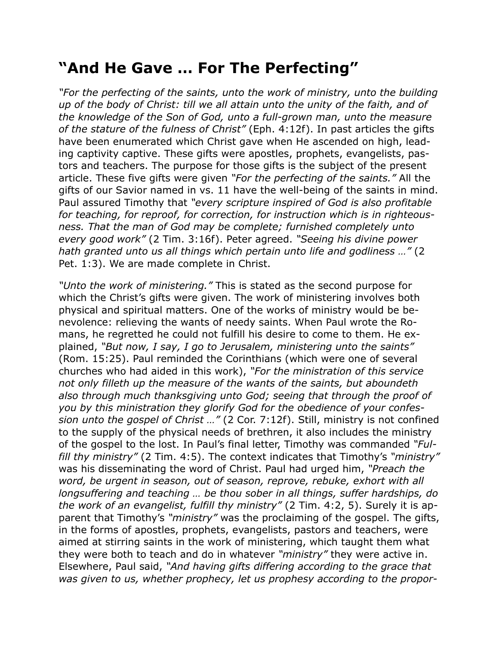## **"And He Gave … For The Perfecting"**

*"For the perfecting of the saints, unto the work of ministry, unto the building up of the body of Christ: till we all attain unto the unity of the faith, and of the knowledge of the Son of God, unto a full-grown man, unto the measure of the stature of the fulness of Christ"* (Eph. 4:12f). In past articles the gifts have been enumerated which Christ gave when He ascended on high, leading captivity captive. These gifts were apostles, prophets, evangelists, pastors and teachers. The purpose for those gifts is the subject of the present article. These five gifts were given *"For the perfecting of the saints."* All the gifts of our Savior named in vs. 11 have the well-being of the saints in mind. Paul assured Timothy that *"every scripture inspired of God is also profitable for teaching, for reproof, for correction, for instruction which is in righteousness. That the man of God may be complete; furnished completely unto every good work"* (2 Tim. 3:16f). Peter agreed. *"Seeing his divine power hath granted unto us all things which pertain unto life and godliness …"* (2 Pet. 1:3). We are made complete in Christ.

*"Unto the work of ministering."* This is stated as the second purpose for which the Christ's gifts were given. The work of ministering involves both physical and spiritual matters. One of the works of ministry would be benevolence: relieving the wants of needy saints. When Paul wrote the Romans, he regretted he could not fulfill his desire to come to them. He explained, *"But now, I say, I go to Jerusalem, ministering unto the saints"* (Rom. 15:25). Paul reminded the Corinthians (which were one of several churches who had aided in this work), *"For the ministration of this service not only filleth up the measure of the wants of the saints, but aboundeth also through much thanksgiving unto God; seeing that through the proof of you by this ministration they glorify God for the obedience of your confession unto the gospel of Christ …"* (2 Cor. 7:12f). Still, ministry is not confined to the supply of the physical needs of brethren, it also includes the ministry of the gospel to the lost. In Paul's final letter, Timothy was commanded *"Fulfill thy ministry"* (2 Tim. 4:5). The context indicates that Timothy's *"ministry"* was his disseminating the word of Christ. Paul had urged him, *"Preach the word, be urgent in season, out of season, reprove, rebuke, exhort with all longsuffering and teaching … be thou sober in all things, suffer hardships, do the work of an evangelist, fulfill thy ministry"* (2 Tim. 4:2, 5). Surely it is apparent that Timothy's *"ministry"* was the proclaiming of the gospel. The gifts, in the forms of apostles, prophets, evangelists, pastors and teachers, were aimed at stirring saints in the work of ministering, which taught them what they were both to teach and do in whatever *"ministry"* they were active in. Elsewhere, Paul said, *"And having gifts differing according to the grace that was given to us, whether prophecy, let us prophesy according to the propor-*